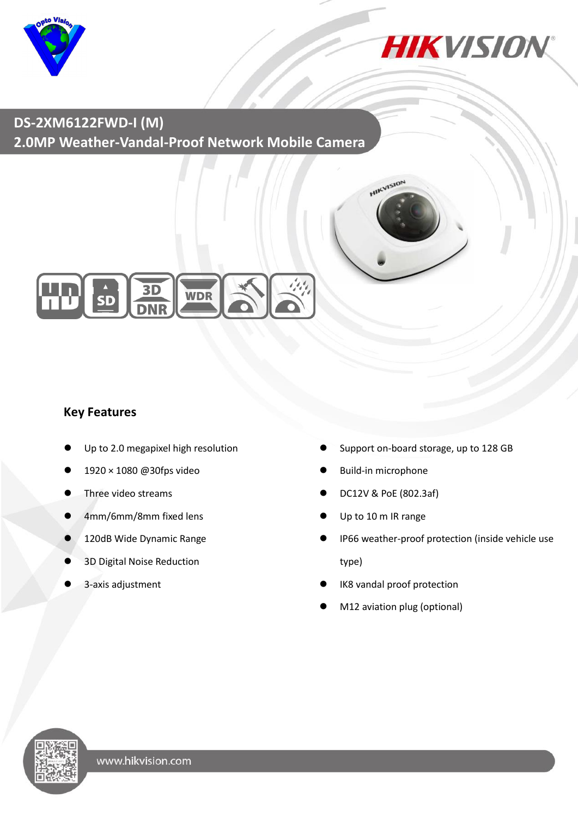



# **DS-2XM6122FWD-I (M) 2.0MP Weather-Vandal-Proof Network Mobile Camera**



### **Key Features**

- Up to 2.0 megapixel high resolution
- 1920 × 1080 @30fps video
- Three video streams
- 4mm/6mm/8mm fixed lens
- 120dB Wide Dynamic Range
- 3D Digital Noise Reduction
- 3-axis adjustment
- Support on-board storage, up to 128 GB
- Build-in microphone
- DC12V & PoE (802.3af)

**HIKVISION** 

- Up to 10 m IR range
- IP66 weather-proof protection (inside vehicle use type)
- IK8 vandal proof protection
- M12 aviation plug (optional)

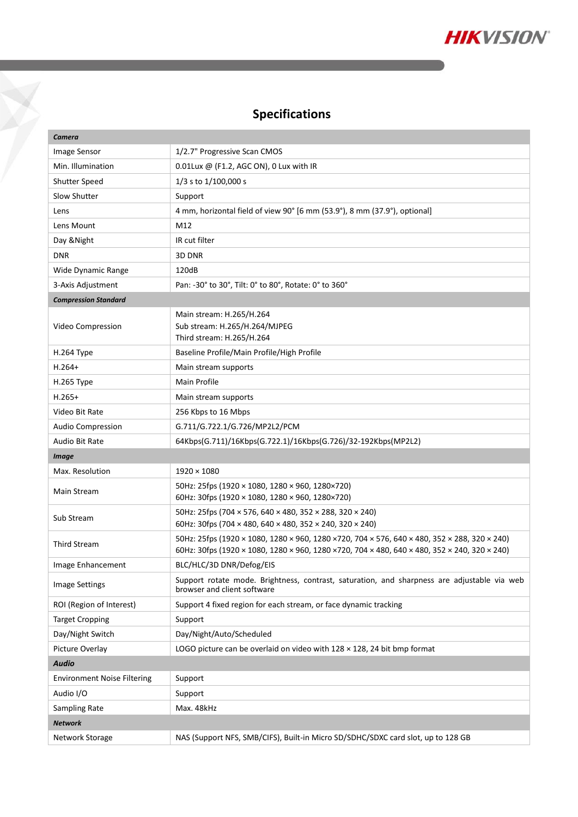

# **Specifications**

X

| Camera                             |                                                                                                                                                                                                |  |
|------------------------------------|------------------------------------------------------------------------------------------------------------------------------------------------------------------------------------------------|--|
| Image Sensor                       | 1/2.7" Progressive Scan CMOS                                                                                                                                                                   |  |
| Min. Illumination                  | 0.01Lux @ (F1.2, AGC ON), 0 Lux with IR                                                                                                                                                        |  |
| Shutter Speed                      | 1/3 s to 1/100,000 s                                                                                                                                                                           |  |
| Slow Shutter                       | Support                                                                                                                                                                                        |  |
| Lens                               | 4 mm, horizontal field of view 90° [6 mm (53.9°), 8 mm (37.9°), optional]                                                                                                                      |  |
| Lens Mount                         | M12                                                                                                                                                                                            |  |
| Day & Night                        | IR cut filter                                                                                                                                                                                  |  |
| <b>DNR</b>                         | 3D DNR                                                                                                                                                                                         |  |
| Wide Dynamic Range                 | 120dB                                                                                                                                                                                          |  |
| 3-Axis Adjustment                  | Pan: -30° to 30°, Tilt: 0° to 80°, Rotate: 0° to 360°                                                                                                                                          |  |
| <b>Compression Standard</b>        |                                                                                                                                                                                                |  |
| Video Compression                  | Main stream: H.265/H.264<br>Sub stream: H.265/H.264/MJPEG<br>Third stream: H.265/H.264                                                                                                         |  |
| H.264 Type                         | Baseline Profile/Main Profile/High Profile                                                                                                                                                     |  |
| $H.264+$                           | Main stream supports                                                                                                                                                                           |  |
| H.265 Type                         | Main Profile                                                                                                                                                                                   |  |
| $H.265+$                           | Main stream supports                                                                                                                                                                           |  |
| Video Bit Rate                     | 256 Kbps to 16 Mbps                                                                                                                                                                            |  |
| <b>Audio Compression</b>           | G.711/G.722.1/G.726/MP2L2/PCM                                                                                                                                                                  |  |
| Audio Bit Rate                     | 64Kbps(G.711)/16Kbps(G.722.1)/16Kbps(G.726)/32-192Kbps(MP2L2)                                                                                                                                  |  |
| <b>Image</b>                       |                                                                                                                                                                                                |  |
| Max. Resolution                    | $1920 \times 1080$                                                                                                                                                                             |  |
| Main Stream                        | 50Hz: 25fps (1920 × 1080, 1280 × 960, 1280×720)<br>60Hz: 30fps (1920 × 1080, 1280 × 960, 1280×720)                                                                                             |  |
| Sub Stream                         | 50Hz: 25fps (704 × 576, 640 × 480, 352 × 288, 320 × 240)<br>60Hz: 30fps (704 × 480, 640 × 480, 352 × 240, 320 × 240)                                                                           |  |
| <b>Third Stream</b>                | 50Hz: 25fps (1920 × 1080, 1280 × 960, 1280 × 720, 704 × 576, 640 × 480, 352 × 288, 320 × 240)<br>60Hz: 30fps (1920 × 1080, 1280 × 960, 1280 × 720, 704 × 480, 640 × 480, 352 × 240, 320 × 240) |  |
| Image Enhancement                  | BLC/HLC/3D DNR/Defog/EIS                                                                                                                                                                       |  |
| <b>Image Settings</b>              | Support rotate mode. Brightness, contrast, saturation, and sharpness are adjustable via web<br>browser and client software                                                                     |  |
| ROI (Region of Interest)           | Support 4 fixed region for each stream, or face dynamic tracking                                                                                                                               |  |
| <b>Target Cropping</b>             | Support                                                                                                                                                                                        |  |
| Day/Night Switch                   | Day/Night/Auto/Scheduled                                                                                                                                                                       |  |
| Picture Overlay                    | LOGO picture can be overlaid on video with $128 \times 128$ , 24 bit bmp format                                                                                                                |  |
| <b>Audio</b>                       |                                                                                                                                                                                                |  |
| <b>Environment Noise Filtering</b> | Support                                                                                                                                                                                        |  |
| Audio I/O                          | Support                                                                                                                                                                                        |  |
| Sampling Rate                      | Max. 48kHz                                                                                                                                                                                     |  |
| <b>Network</b>                     |                                                                                                                                                                                                |  |
| Network Storage                    | NAS (Support NFS, SMB/CIFS), Built-in Micro SD/SDHC/SDXC card slot, up to 128 GB                                                                                                               |  |
|                                    |                                                                                                                                                                                                |  |